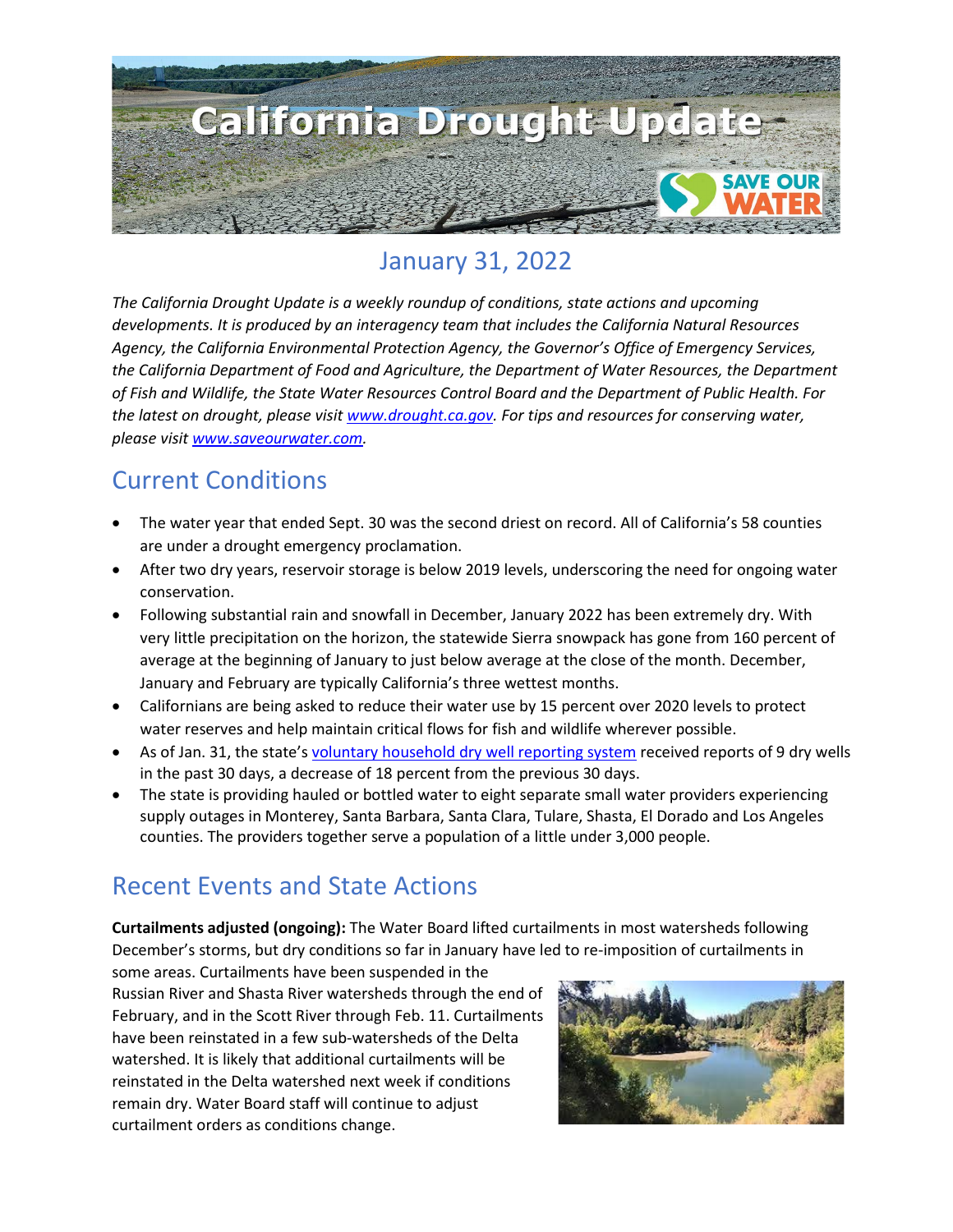

## January 31, 2022

*The California Drought Update is a weekly roundup of conditions, state actions and upcoming developments. It is produced by an interagency team that includes the California Natural Resources Agency, the California Environmental Protection Agency, the Governor's Office of Emergency Services, the California Department of Food and Agriculture, the Department of Water Resources, the Department of Fish and Wildlife, the State Water Resources Control Board and the Department of Public Health. For the latest on drought, please visit [www.drought.ca.gov.](http://www.drought.ca.gov/) For tips and resources for conserving water, please visit [www.saveourwater.com.](http://www.saveourwater.com/)*

### Current Conditions

- The water year that ended Sept. 30 was the second driest on record. All of California's 58 counties are under a drought emergency proclamation.
- After two dry years, reservoir storage is below 2019 levels, underscoring the need for ongoing water conservation.
- Following substantial rain and snowfall in December, January 2022 has been extremely dry. With very little precipitation on the horizon, the statewide Sierra snowpack has gone from 160 percent of average at the beginning of January to just below average at the close of the month. December, January and February are typically California's three wettest months.
- Californians are being asked to reduce their water use by 15 percent over 2020 levels to protect water reserves and help maintain critical flows for fish and wildlife wherever possible.
- As of Jan. 31, the state's [voluntary household dry well reporting system](https://mydrywell.water.ca.gov/report/) received reports of 9 dry wells in the past 30 days, a decrease of 18 percent from the previous 30 days.
- The state is providing hauled or bottled water to eight separate small water providers experiencing supply outages in Monterey, Santa Barbara, Santa Clara, Tulare, Shasta, El Dorado and Los Angeles counties. The providers together serve a population of a little under 3,000 people.

## Recent Events and State Actions

**Curtailments adjusted (ongoing):** The Water Board lifted curtailments in most watersheds following December's storms, but dry conditions so far in January have led to re-imposition of curtailments in

some areas. Curtailments have been suspended in the Russian River and Shasta River watersheds through the end of February, and in the Scott River through Feb. 11. Curtailments have been reinstated in a few sub-watersheds of the Delta watershed. It is likely that additional curtailments will be reinstated in the Delta watershed next week if conditions remain dry. Water Board staff will continue to adjust curtailment orders as conditions change.

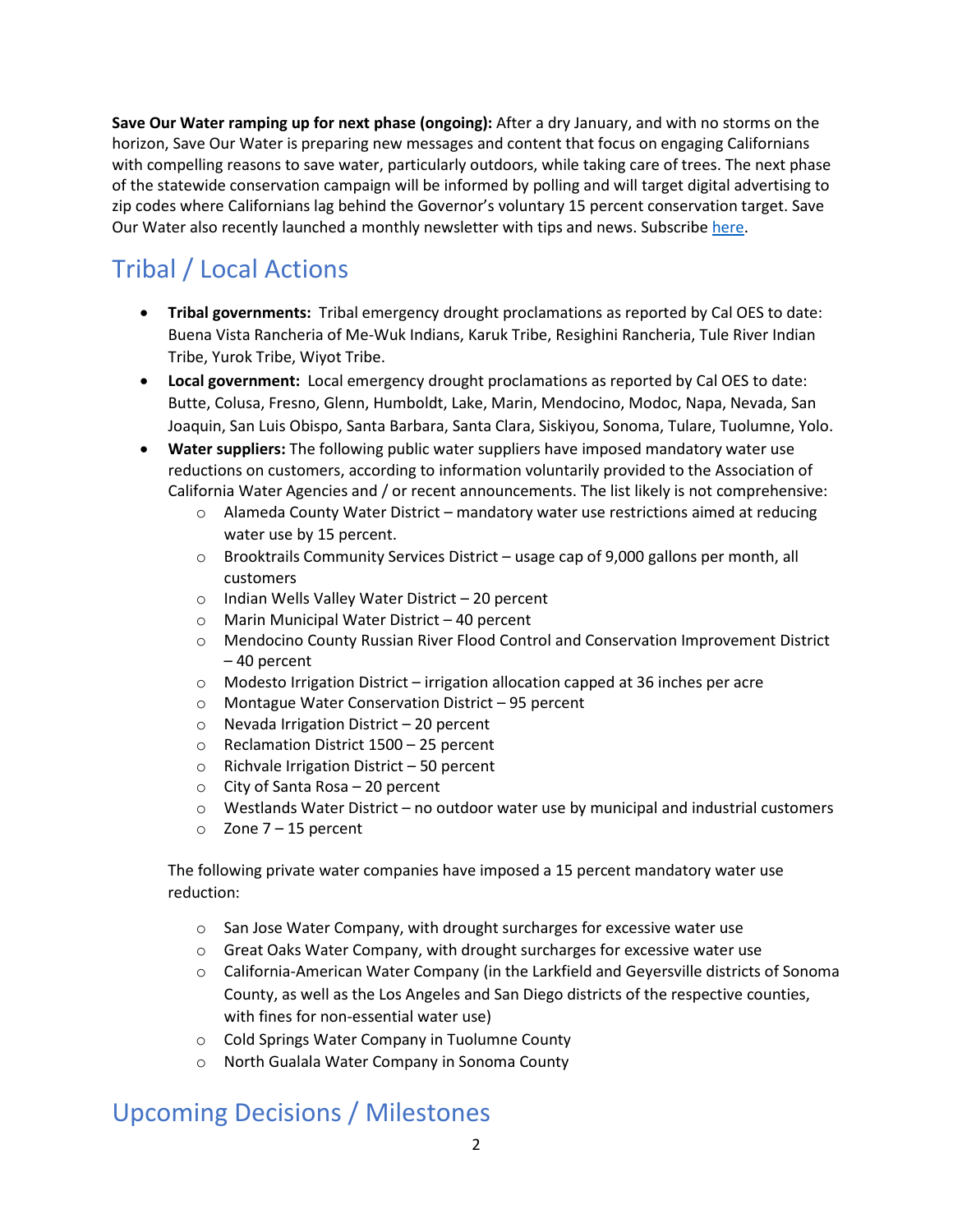**Save Our Water ramping up for next phase (ongoing):** After a dry January, and with no storms on the horizon, Save Our Water is preparing new messages and content that focus on engaging Californians with compelling reasons to save water, particularly outdoors, while taking care of trees. The next phase of the statewide conservation campaign will be informed by polling and will target digital advertising to zip codes where Californians lag behind the Governor's voluntary 15 percent conservation target. Save Our Water also recently launched a monthly newsletter with tips and news. Subscrib[e here.](https://saveourwater.com/en/Subscribe-to-Newsletter?utm_medium=email&utm_source=govdelivery)

# Tribal / Local Actions

- **Tribal governments:** Tribal emergency drought proclamations as reported by Cal OES to date: Buena Vista Rancheria of Me-Wuk Indians, Karuk Tribe, Resighini Rancheria, Tule River Indian Tribe, Yurok Tribe, Wiyot Tribe.
- **Local government:** Local emergency drought proclamations as reported by Cal OES to date: Butte, Colusa, Fresno, Glenn, Humboldt, Lake, Marin, Mendocino, Modoc, Napa, Nevada, San Joaquin, San Luis Obispo, Santa Barbara, Santa Clara, Siskiyou, Sonoma, Tulare, Tuolumne, Yolo.
- **Water suppliers:** The following public water suppliers have imposed mandatory water use reductions on customers, according to information voluntarily provided to the Association of California Water Agencies and / or recent announcements. The list likely is not comprehensive:
	- o Alameda County Water District mandatory water use restrictions aimed at reducing water use by 15 percent.
	- $\circ$  Brooktrails Community Services District usage cap of 9,000 gallons per month, all customers
	- o Indian Wells Valley Water District 20 percent
	- o Marin Municipal Water District 40 percent
	- o Mendocino County Russian River Flood Control and Conservation Improvement District – 40 percent
	- o Modesto Irrigation District irrigation allocation capped at 36 inches per acre
	- o Montague Water Conservation District 95 percent
	- o Nevada Irrigation District 20 percent
	- o Reclamation District 1500 25 percent
	- $\circ$  Richvale Irrigation District 50 percent
	- o City of Santa Rosa 20 percent
	- $\circ$  Westlands Water District no outdoor water use by municipal and industrial customers
	- $\circ$  Zone 7 15 percent

The following private water companies have imposed a 15 percent mandatory water use reduction:

- o San Jose Water Company, with drought surcharges for excessive water use
- o Great Oaks Water Company, with drought surcharges for excessive water use
- o California-American Water Company (in the Larkfield and Geyersville districts of Sonoma County, as well as the Los Angeles and San Diego districts of the respective counties, with fines for non-essential water use)
- o Cold Springs Water Company in Tuolumne County
- o North Gualala Water Company in Sonoma County

### Upcoming Decisions / Milestones